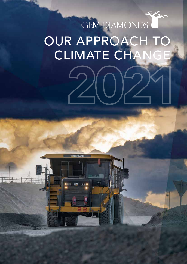# GEM DIAMONDS OUR APPROACH TO CLIMATE CHANGE

COTERPILLAR

CAT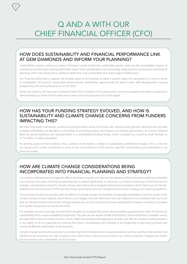## Q AND A WITH OUR CHIEF FINANCIAL OFFICER (CFO)

1

#### HOW DOES SUSTAINABILITY AND FINANCIAL PERFORMANCE LINK AT GEM DIAMONDS AND INFORM YOUR PLANNING?

Sustainability requires continuous balance between capital investment, sustainable growth, reducing the unavoidable impacts of operational activities and creating stakeholder value. These considerations are increasingly integrated into our business and financial planning, which has enhanced our ability to determine costs and benefits at an early stage of deliberation.

Our financial performance supports the broader goals of the business to leave a positive legacy for generations to come in terms of sustainable CSR protects, responsible environmental stewardship, opportunities for decent work, skills development, training programmes and driving forward our six UN SDGs.

Across the industry, we have seen increased interest from investors in ESG performance and we're pleased to be able to respond by demonstrating our work over the past several years and our future planning in this regard.

#### HOW HAS YOUR FUNDING STRATEGY EVOLVED, AND HOW IS SUSTAINABILITY AND CLIMATE CHANGE CONCERNS FROM FUNDERS IMPACTING THIS?

We have historically maintained numerous funding facilities across the Group with varying expiry periods. Although this provides a degree of flexibility, we decided to consolidate our funding position and expand our funding partnerships. As a result, Firstrand Bank has joined Nedbank and Standard Bank in a consolidated funding facility, which increased our revolving credit facilities to \$77.0 million, in dollar equivalent.

An exciting aspect of the funding is that a portion of the facility is linked to sustainability performance targets. This is a first for our Group, and it marks a milestone in terms of our commitments to ESG and the way ESG commitments are embedded in our financial models.

#### HOW ARE CLIMATE CHANGE CONSIDERATIONS BEING INCORPORATED INTO FINANCIAL PLANNING AND STRATEGY?

Our work to understand and mitigate the effects of climate change is not new but the degree to which it has been explicitly embedded into business structures and financial planning has increased significantly. In particular, to enhance reporting on the financial and strategic considerations related to climate change, Gem Diamonds is integrating the recommendations of the Task Force on Climaterelated Financial Disclosures (TCFD) into the Group's governance and risk management structures, strategy and reporting platforms.

The processes to plan for and deal with the effects of climate change are therefore increasingly embedded, as are the results of the climate change scenario analysis, which allows us to mitigate risk more effectively. How we implement our investment decisions and take our decarbonisation and climate-change impacts into account is becoming more sophisticated. However, it remains a complex and rapidly changing focus area by its nature.

For example, just two years ago, the persistent drought encouraged discussions about building supplementary dams to ensure our sustainability from a water-availability perspective. This year, we saw severe rainfall and flooding. These extremities of weather events are expected to become more common, which makes forecasting and budgeting a complex task. We are, however, making progress in our ability to do so, especially by ensuring that these considerations are included at the beginning of planning processes and involve all affected stakeholders in the business.

Climate change has become a priority in our planning from the Board down to operational level, and we start from the position that efficiencies are necessary not only to reduce costs and increase revenues, but to reduce our carbon emissions, mitigate any climate risk and enhance the sustainability of the business.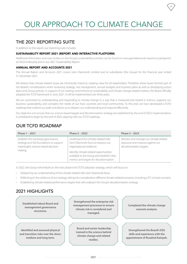# OUR APPROACH TO CLIMATE CHANGE

2

## THE 2021 REPORTING SUITE

In addition to this report, our reporting suite includes:

#### SUSTAINABILITY REPORT 2021 (REPORT AND INTERACTIVE PLATFORM)

Additional information and case studies on the Group's sustainability activities can be found on www.gemdiamonds-reports.co.za/reports/ sd-2022/index.php and in our 2021 Sustainability Report.

#### ANNUAL REPORT AND ACCOUNTS 2021

The Annual Report and Accounts 2021 covers Gem Diamonds Limited and its subsidiaries (the Group) for the financial year ended 31 December 2021.

We believe that climate-related issues are intrinsically linked to creating value for all stakeholders. Therefore, these issues formed part of the Board's considerations when reviewing strategy, risk management, annual budgets and business plans as well as developing action plans and Group policies. In support of our existing commitment to sustainability and climate change-related matters, the Board officially adopted the TCFD framework in June 2021. It will be implemented over three years.

We are committed to understanding and responding to climate change in a way that is measured and rooted in science, supports our business sustainability, and considers the needs of our host countries and local communities. To this end, we have developed a TCFD roadmap that outlines our path and allows us to deepen our understanding and respond effectively.

Our objective is to ensure that our science-based targets and decarbonisation strategy are established by the end of 2022. Implementation is scheduled to begin by the end of 2023, aligning with our TCFD roadmap.

### OUR TCFD ROADMAP

| Phase 1 - 2021                                                                                                                    | Phase 2 - 2022                                                                                                                                                                                                                               | Phase 3 - 2023                                                                                         |
|-----------------------------------------------------------------------------------------------------------------------------------|----------------------------------------------------------------------------------------------------------------------------------------------------------------------------------------------------------------------------------------------|--------------------------------------------------------------------------------------------------------|
| Establish the necessary governance,<br>strategy and risk foundations to support<br>meaningful, science-based decision-<br>making. | Understand the climate-related risks<br>Gem Diamonds faces to reassess our<br>organisational resilience.<br>Identify climate-related opportunities<br>available to the Group and establish clear<br>metrics and targets for decarbonisation. | Monitor and manage our climate-related<br>exposure and measure against our<br>decarbonisation targets. |

In 2022, the Group will embark on the next phase of its TCFD adoption strategy, which will focus on:

- Deepening our understanding of the climate-related risks Gem Diamonds faces.
- Reflecting on the resilience of our strategy, taking into consideration different climate-related scenarios, including a 2°C or lower scenario.
- Establishing climate-related performance targets that will underpin the Group's decarbonisation strategy.

### 2021 HIGHLIGHTS

**Established robust Board and management governance structures. Strengthened the enterprise risk management processes to ensure climate risk is considered and managed. Completed the climate change scenario analysis. Identified and assessed physical and transition risks over the short, medium and long term. Board and senior leadership trained in the science behind climate change and related studies. Strengthened the Board's ESG skills and experience with the appointment of Rosalind Kainyah.**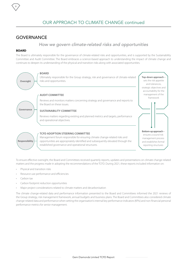#### **GOVERNANCE**

#### *How we govern climate-related risks and opportunities*

#### BOARD

3

The Board is ultimately responsible for the governance of climate-related risks and opportunities, and is supported by the Sustainability Committee and Audit Committee. The Board embraces a science-based approach to understanding the impact of climate change and continues to deepen its understanding of the physical and transition risks along with associated opportunities.



To ensure effective oversight, the Board and Committees received quarterly reports, updates and presentations on climate change-related matters and the progress made in adopting the recommendations of the TCFD. During 2021, these reports included information on:

- Physical and transition risks
- Resource use performance and efficiencies
- Carbon tax
- Carbon footprint reduction opportunities
- Major project considerations related to climate matters and decarbonisation

The climate change-related data and performance information presented to the Board and Committees informed the 2021 reviews of the Group strategy, risk management framework, annual budgets and business plans. The Board and Committees also considered climate change-related data and performance when setting the organisation's internal key performance indicators (KPIs) and non-financial personal performance metrics for senior management.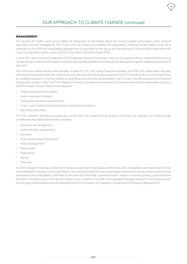4

#### MANAGEMENT

The Group's CFO holds overall accountability for integrating climate-related issues into annual budgets and business plans, financial disclosures and risk management. The Group's COO has overall accountability for sustainability, including climate-related issues. He is supported by the HSSE and Sustainability Manager who is responsible for the day-to-day management of climate-related work within the Group and reporting matters concerning TCFD and Carbon Disclosure Project (CDP).

In June 2021, Gem Diamonds established a TCFD Adoption Steering Committee, which is a management forum responsible for ensuring climate change-related risks and opportunities are appropriately identified and subsequently elevated through the established governance structures.

The Committee meets monthly and members include the CFO, COO, Group Financial Controller, and HSSE and Sustainability Manager. Internal and external attendees are invited to provide input into the process as appropriate. The TCFD Adoption Steering Committee drives an integrated approach to climate change by identifying and assessing climate-related issues through internal assessments and external independent studies. In 2021, the TCFD Adoption Steering Committee commissioned the following external and independent studies to build the Group's climate-related knowledge base:

- Climate change scenario analysis
- Carbon and water footprints
- Physical and transition risk assessments
- Scope 1 and 2 carbon footprint reduction opportunity assessment
- Materiality assessment

The TCFD Adoption Steering Committee also worked with the relevant internal functions to bolster the integration of climate change consideration throughout the business, including:

- Enterprise risk management
- Communication and reporting
- Insurance
- Financial planning and disclosure
- Project management
- Internal audit
- **Engineering**
- Mining
- **Treatment**

The TCFD Adoption Steering Committee's findings are reported to the Board, and the Audit and Sustainability Committees, by the HSSE and Sustainability Manager every quarter. Reports on existing and planned metrics and targets, performance and operational objectives are presented to the Sustainability Committee. At the same time, the Audit Committee reviews matters concerning strategy, governance and risk. Both committees report to the Board on these issues. In addition, the HSSE and Sustainability Manager presents to the Board quarterly on emerging climate-related issues and developments such as carbon tax, regulatory changes and technological developments.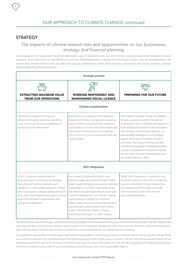### **STRATEGY**

5

#### *The impacts of climate-related risks and opportunities on our businesses, strategy and financial planning*

Our strategy aims to sustainably maximise stakeholder value in alignment with our commitment to being responsible stewards of natural resources. Gem Diamonds has identified three priorities (listed below) that underpin how the Group creates value for all stakeholders. We believe that climate-related issues can affect the Group's performance within these priorities, and impact the Group's business, strategy, financial planning and performance.

| <b>Strategic priority</b>                                                                                                                                                                                                                                                                                                    |                                                                                                                                                                                                                                                                                                                                                                                                                                                                                                       |                                                                                                                                                                                                                                                                                                                                                                                                                                                                                                                                        |  |
|------------------------------------------------------------------------------------------------------------------------------------------------------------------------------------------------------------------------------------------------------------------------------------------------------------------------------|-------------------------------------------------------------------------------------------------------------------------------------------------------------------------------------------------------------------------------------------------------------------------------------------------------------------------------------------------------------------------------------------------------------------------------------------------------------------------------------------------------|----------------------------------------------------------------------------------------------------------------------------------------------------------------------------------------------------------------------------------------------------------------------------------------------------------------------------------------------------------------------------------------------------------------------------------------------------------------------------------------------------------------------------------------|--|
| <b>EXTRACTING MAXIMUM VALUE</b>                                                                                                                                                                                                                                                                                              | <b>WORKING RESPONSIBLY AND</b>                                                                                                                                                                                                                                                                                                                                                                                                                                                                        | <b>PREPARING FOR OUR FUTURE</b>                                                                                                                                                                                                                                                                                                                                                                                                                                                                                                        |  |
| <b>FROM OUR OPERATIONS</b><br><b>MAINTAINING SOCIAL LICENCE</b><br><b>Climate considerations</b>                                                                                                                                                                                                                             |                                                                                                                                                                                                                                                                                                                                                                                                                                                                                                       |                                                                                                                                                                                                                                                                                                                                                                                                                                                                                                                                        |  |
| Operational initiatives to improve<br>efficiencies thereby reducing operating<br>costs and ensuring future availability of<br>resources for all stakeholders                                                                                                                                                                 | Bolstering our resilience to the physical<br>impacts of climate change while working<br>with our PACs to improve their readiness<br>and resilience, ensures that Gem Diamonds<br>can protect its social licence to operate<br>and continue to work responsibly with our<br>stakeholders.                                                                                                                                                                                                              | The impact of climate change can already<br>be seen around the world. The work we<br>undertook in 2021 to identify and respond to<br>both physical and transition risks associated<br>with climate change ensures that we can<br>appropriately strategise for and mitigate<br>against the impact of climate change in<br>our future. The Group's existing business<br>continuity and disaster management plans<br>include considerations for extreme natural<br>events, which we have responded to since<br>we started mining in 2006. |  |
| 2021 integration                                                                                                                                                                                                                                                                                                             |                                                                                                                                                                                                                                                                                                                                                                                                                                                                                                       |                                                                                                                                                                                                                                                                                                                                                                                                                                                                                                                                        |  |
| In 2021, Letšeng implemented an<br>improved waste rock dumping strategy<br>that reduced hauling distances and<br>resulted in a measurable reduction in fossil<br>fuel consumption, related carbon emissions<br>and costs. Our integrated approach ensures<br>alignment between sustainability and<br>operational objectives. | As a result of localised flooding in the<br>Patiseng valley during the first half of 2021,<br>water supply infrastructure, access roads and<br>footbridges in our PACs were swept away.<br>We rebuilt the damaged infrastructure and<br>used the findings from our climate change<br>work findings to design an improved<br>water supply structure, using borehole and<br>groundwater systems rather than surface<br>water. This limits the impact of future<br>flooding and drought on water supply. | While Gem Diamonds is currently in the<br>foundation phase of its TCFD journey, the<br>business identified climate-related risks<br>and opportunities through externally<br>commissioned studies and internal<br>assessment processes.                                                                                                                                                                                                                                                                                                 |  |

The 2021 Group risk and strategy workshops identified strategic and financial planning processes that should consider climate-related risks and opportunities over the short, medium and long term. The timeframes adopted by Gem Diamonds for the short, medium and long term align with accepted industry practice and consider the mine lease period for our operating mine, Letšeng.

Our operations are located in remote areas, making them susceptible to more frequent extreme weather events due to climate change. While we continue to deepen our understanding of the expected physical risks under various scenarios, climate change has already impacted our operations and forms part of our business continuity planning. For more information on how we are managing and mitigating the impact of extreme weather events, refer to our Annual Report and Accounts 2021 and Sustainability Report.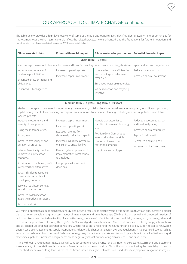6

The table below provides a high-level overview of some of the risks and opportunities identified during 2021. Where opportunities for improvement over the short term were identified, the related processes were enhanced, and the foundations for further integration and consideration of climate-related issues in 2022 were established.

| <b>Climate-related risks</b>                                                                                                                                                                                                                                                                                                                                                                                                                                                                                                 | <b>Potential financial impact</b>                                                                                                                                                                                                                                                                        | <b>Climate-related opportunities</b>                                                                                                                                                                           | <b>Potential financial impact</b>                                                                                                                                                  |
|------------------------------------------------------------------------------------------------------------------------------------------------------------------------------------------------------------------------------------------------------------------------------------------------------------------------------------------------------------------------------------------------------------------------------------------------------------------------------------------------------------------------------|----------------------------------------------------------------------------------------------------------------------------------------------------------------------------------------------------------------------------------------------------------------------------------------------------------|----------------------------------------------------------------------------------------------------------------------------------------------------------------------------------------------------------------|------------------------------------------------------------------------------------------------------------------------------------------------------------------------------------|
|                                                                                                                                                                                                                                                                                                                                                                                                                                                                                                                              |                                                                                                                                                                                                                                                                                                          | Short term: 1-3 years                                                                                                                                                                                          |                                                                                                                                                                                    |
|                                                                                                                                                                                                                                                                                                                                                                                                                                                                                                                              |                                                                                                                                                                                                                                                                                                          | Short-term processes include annual business and financial planning, performance reporting, short-term capital and contract negotiations.                                                                      |                                                                                                                                                                                    |
| Increase in occurrence of<br>moderate precipitation.<br>Enhanced emissions reporting<br>obligations.<br>Enhanced ESG obligations.                                                                                                                                                                                                                                                                                                                                                                                            | Increased operating costs.<br>Increased capital investment.                                                                                                                                                                                                                                              | Increased resource efficiencies<br>and reducing our reliance on<br>fossil fuels<br>Enhanced water use strategies.<br>Waste reduction and recycling<br>initiatives.                                             | Reduced operating costs.<br>Increased capital investment.                                                                                                                          |
|                                                                                                                                                                                                                                                                                                                                                                                                                                                                                                                              |                                                                                                                                                                                                                                                                                                          | Medium term: 3-5 years, long term: 5-10 years<br>Medium to long-term processes include strategy development, social and environmental management plans, rehabilitation planning,                               |                                                                                                                                                                                    |
| focused projects.                                                                                                                                                                                                                                                                                                                                                                                                                                                                                                            |                                                                                                                                                                                                                                                                                                          | capital management plans, financing and capital investments and operational planning, including contract negotiations and future-                                                                              |                                                                                                                                                                                    |
| Increase in occurrence and<br>severity of precipitation.<br>Rising mean temperature.<br>Strong winds.<br>Increased frequency of and<br>duration of droughts.<br>Failure of electricity providers<br>to move to a low carbon<br>economy.<br>Substitution of technology with<br>lower emission alternatives.<br>Social risks due to resource<br>constraints, particularly in<br>developing countries.<br>Evolving regulatory context<br>regarding carbon tax.<br>Increased costs of carbon-<br>intensive products i.e. diesel. | Increased capital investment.<br>Increased operating cost.<br>Reduced revenue from<br>decreased production capacity.<br>Increased insurance premium<br>or insurance unavailability.<br>Research, development and<br>implementation costs of new<br>technology.<br>Inappropriate investment<br>decisions. | Identify opportunities to<br>transition to renewable energy<br>sources.<br>Position Gem Diamonds as<br>an ethical and responsible<br>producer of low carbon<br>footprint diamonds.<br>Use of new technologies. | Reduced exposure to carbon<br>and fossil fuel pricing.<br>Increased capital availability.<br>Reputational benefits.<br>Decreased operating costs.<br>Increased capital investment. |

Our mining operations require significant energy, and Letšeng receives its electricity supply from the South African grid. Increasing global demand for renewable energy, concerns about climate change and greenhouse gas (GHG) emissions, actual and proposed taxation of carbon emissions and limited availability of alternative energy sources will affect the price and availability of energy. Higher energy demand in countries supplied with electricity through South Africa and grid instability in South Africa could increase electricity supply interruptions and associated use of diesel-powered generators. Greater focus on transitioning the South African electricity supply sector to renewable energy can also increase energy supply interruptions. Additionally, changes in energy laws and regulations in various jurisdictions, such as taxation on carbon emissions or fossil fuel-based energy, may impact energy costs and technology available for use. Limitations on grid electricity supply and increased energy prices could negatively impact our operating activities, costs and cash flows.

In line with our TCFD roadmap, in 2022, we will conduct comprehensive physical and transition risk exposure assessments and determine the materiality of potential financial impacts on financial performance and position. This will assist us in indicating the materiality of the risks in the short, medium and long term, as well as the Group's resilience against climate issues, and identify appropriate mitigation strategies.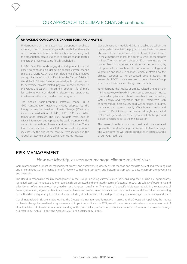#### UNPACKING OUR CLIMATE CHANGE SCENARIO ANALYSIS

Understanding climate-related risks and opportunities allows us to align our business strategy with stakeholder demands of the industry, enhance sustainability efforts throughout the organisation, create resilience to climate change-related impacts and maximise value for all stakeholders.

7

In 2021, Gem Diamonds engaged an independent external expert to conduct an organisation-specific climate change scenario analysis (CCSA) that considers a mix of quantitative and qualitative information. Data from the Carbon Brief and World Bank Climate Change Knowledge Portal was used to determine climate-related physical impacts specific to the Group's locations. The current open-pit life of mine for Letšeng was considered in determining appropriate timeframes in the short, medium and long term.

The Shared Socio-Economic Pathway model is a GHG concentration trajectory model, adopted by the Intergovernmental Panel on Climate Change (IPCC), and includes consideration of 1.4°C, 1.9°C, 3.3°C and 6.0°C temperature increases. The 6.0°C datasets were used as critical information and represent the world economy in the current format without climate adaption and initiatives. These four climate scenarios, modelled on potential temperature increases by the end of the century, were included in the Group's assessment of physical climate-related impacts.

General circulation models (GCMs), also called global climate models, which simulate the physics of the climate itself, were also used. These models consider the flows of air and water in the atmosphere and/or the oceans as well as the transfer of heat. The most recent subset of GCMs now incorporate biogeochemical cycles and can simulate the carbon cycle, nitrogen cycle, atmospheric chemistry, ocean ecology, and vegetation and land use changes, which all affect how the climate responds to human-caused GHG emissions. An ensemble of GCM models was used to determine our Group locations' climate-related changes and impacts.

To understand the impact of climate-related events on our mining activity, we linked climate issues to production impact by considering factors such as human health and behaviour, water, energy and vegetation changes. Parameters such as temperature, heat waves, cold waves, floods, droughts, hurricanes and storms directly affect human health and behaviour. Precipitation, evaporation, drought and wind factors will generally increase operational challenges and present a resultant risk to the mining sector.

This research reflects our measured and science-based approach to understanding the impact of climate change and will inform the work to be conducted in phases 2 and 3 of our TCFD roadmap.

### RISK MANAGEMENT

#### *How we identify, assess and manage climate-related risks*

Gem Diamonds has a robust risk management process and framework to identify, assess, manage and mitigate current and emerging risks and uncertainties. Our risk management framework combines a top-down and bottom-up approach to ensure appropriate governance and oversight.

The Board is responsible for risk management in the Group, including climate-related risks, ensuring that all risks are appropriately identified, assessed, mitigated and monitored. Risks are assessed and prioritised in terms of potential impact, probability of occurrence and effectiveness of controls across short, medium and long-term timeframes. The impact of a specific risk is assessed within the categories of finance, reputation, regulation, health and safety, climate and environment, and social and community. A standalone risk review meeting of the Board is held quarterly to explore all risks, including climate-related risks, in depth and fully assess management scenarios and plans.

Our climate-related risks are integrated into the Group's risk management framework. In assessing the Group's principal risks, the impact of climate change is considered a key element and impact determinator. In 2022, we will undertake an extensive exposure assessment of climate-related risks to mature our understanding of the potential impacts and opportunities. For more information on how we manage risk, refer to our Annual Report and Accounts 2021 and Sustainability Report.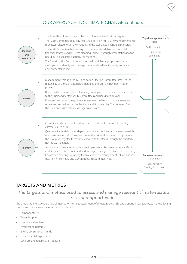8



## TARGETS AND METRICS

### *The targets and metrics used to assess and manage relevant climate-related risks and opportunities*

The Group monitors a wide range of metrics to inform its assessment of climate-related risks and opportunities. Before 2021, the following metrics and trends were measured and monitored:

- Carbon footprint
- Water footprint
- Freshwater dam levels
- Precipitation patterns
- Energy consumption trends
- Environmental expenditure
- Land use and rehabilitation activities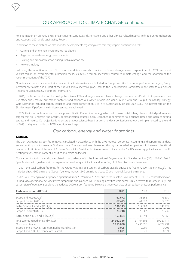

For information on our GHG emissions, including scope 1, 2 and 3 emissions and other climate-related metrics, refer to our Annual Report and Accounts 2021 and Sustainability Report.

In addition to these metrics, we also monitor developments regarding areas that may impact our transition risks:

- Current and emerging climate-related regulations
- Regional renewable energy developments
- Existing and proposed carbon pricing such as carbon tax
- New technology

9

Following the adoption of the TCFD recommendations, we also track our climate change-related expenditure. In 2021, we spent US\$0.9 million on environmental protection measures. US\$0.2 million specifically related to climate change, and the adoption of the recommendations of the TCFD.

Non-financial performance indicators related to climate metrics are included in Group Executives' personal performance targets, Group performance targets and as part of the Group's annual incentive plan. Refer to the Remuneration Committee report refer to our Annual Report and Accounts 2021 for more information.

In 2021, the Group worked on improving the internal KPIs and targets around climate change. Our internal KPIs aim to improve resource use efficiencies, reduce our carbon footprint and advance our water stewardship goals. In line with our Group sustainability strategy, Gem Diamonds included carbon reduction and water conservation KPIs in its Sustainability Linked Loan (SLL). The interest rate on the SLL decreases if performance indicator targets are achieved.

In 2022, the Group will embark on the next phase of its TCFD adoption strategy, which will focus on establishing climate-related performance targets that will underpin the Group's decarbonisation strategy. Gem Diamonds is committed to a science-based approach to setting targets and metrics. Our objective is to ensure that our science-based targets and decarbonisation strategy are implemented by the end of 2023 in alignment with our TCFD adoption roadmap.

#### *Our carbon, energy and water footprints*

#### **CARBON**

The Gem Diamonds carbon footprint was calculated in accordance with the GHG Protocol Corporate Accounting and Reporting Standard, an accounting tool to manage GHG emissions. The standard was developed through a decade-long partnership between the World Resources Institute and the World Business Council for Sustainable Development. It includes IPCC GHG inventory guidelines for specific heating values, carbon content, densities and emission factors.

Our carbon footprint was also calculated in accordance with the International Organisation for Standardisation (ISO) 14064-1 Part 1: Specification with guidance at the organisation level for quantification and reporting of GHG emissions and removals.

In 2021, the total carbon footprint for the Group was 153 864 tonnes of carbon dioxide equivalent (tCo<sub>2</sub>e) (2020: 135 694 tCo<sub>2</sub>e). This includes direct GHG emissions (Scope 1), energy indirect GHG emissions (Scope 2) and material Scope 3 emissions.

In 2020, our Letšeng mine suspended operations from 28 March to 26 April due to the Lesotho Government's COVID-19-related lockdown. During May, operational activities were ramped up and planned waste mining activities were successfully deferred to resume in July. This suspension of operations explains the reduced 2020 carbon footprint. Below is a three-year view of our carbon emission performance.

| Carbon emissions (tCO <sub>2</sub> e)                                                                                                                                               | 2021                                      | 2020                                    | 2019                                    |
|-------------------------------------------------------------------------------------------------------------------------------------------------------------------------------------|-------------------------------------------|-----------------------------------------|-----------------------------------------|
| Scope 1 (direct) (tCO <sub>2</sub> e)<br>Scope 2 (indirect) (tCO <sub>3</sub> e)                                                                                                    | 62 672<br>67473                           | 53 568<br>61320                         | 75359<br>67870                          |
| Total Scope 1 and 2 (tCO <sub>2</sub> e)                                                                                                                                            | 130 145                                   | 114888                                  | 143 229                                 |
| Scope 3 (indirect) (tCO <sub>2</sub> e)                                                                                                                                             | 23718                                     | 20.807                                  | 29739                                   |
| Total Scope 1, 2 and 3 ( $tCO$ ,e)                                                                                                                                                  | 153 864                                   | 135694                                  | 172 968                                 |
| Total tonnes mined (ore and waste)<br>Ore tonnes treated<br>Scope 1 and 2 (tCO <sub>2</sub> e)/Tonnes mined (ore and waste)<br>Scope 1 and 2 (tCO <sub>3</sub> e)/Tonne ore treated | 24 962 356<br>6 213 098<br>0.005<br>0.021 | 21 167 606<br>5436396<br>0.005<br>0.021 | 30 327 114<br>6707791<br>0.005<br>0.021 |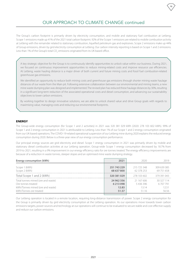10

The Group's carbon footprint is primarily driven by electricity consumption, and mobile and stationary fuel combustion at Letšeng. Scope 1 emissions made up 41% of the 2021 total carbon footprint. 92% of the Scope 1 emissions are related to mobile combustion activity at Letšeng with the remainder related to stationary combustion, liquefied petroleum gas and explosives. Scope 2 emissions make up 44% of Group emissions, driven by grid electricity consumption at Letšeng. Our carbon intensity reporting is based on Scope 1 and 2 emissions. Less than 1% of the Group's total CO<sub>2</sub> emissions originated from its UK-based office.

A key strategic objective for the Group is to continuously identify opportunities to unlock value within our business. During 2021, we focused on continuous improvement opportunities to reduce mining-related costs and improve resource use efficiencies. At Letšeng, waste hauling distance is a major driver of both current and future mining costs and fossil fuel combustion-related greenhouse gas emissions.

We identified an opportunity to reduce both mining costs and greenhouse gas emissions through shorter mining waste haulage distances of our waste from the Main pit. Following extensive collaboration between our environmental and mining teams, a new mine waste dumping plan was designed and implemented. The revised plan has reduced these haulage distances by 30%, resulting in a significant long-term reduction of the associated operational costs and diesel consumption, and advancing our sustainability objectives to lower carbon emissions.

By working together to design innovative solutions, we are able to unlock shared value and drive Group goals with regards to maximising value, managing costs and reducing our environmental footprints.

#### ENERGY

The Group-wide energy consumption (for Scope 1 and 2 activities) in 2021 was 320 381 029 kWh (2020: 278 103 602 kWh). 99% of Scope 1 and 2 energy consumption in 2021 is attributable to Letšeng. Less than 1% of our Scope 1 and 2 energy consumption originated from our UK-based operations. The COVID-19-related operational suspension of our Letšeng mine during 2020 explains the reduced energy consumption during 2020. Below is a three-year view of our energy consumption performance.

Our principal energy sources are grid electricity and diesel. Scope 1 energy consumption in 2021 was primarily driven by mobile and stationary diesel combustion activities at our Letšeng operation. Group-wide Scope 1 energy consumption decreased by 18.7% from 2019 to 2021, resulting in a 9% improvement in our energy efficiency ratio for ore tonnes treated. The energy efficiency improvements are because of a reduction in waste tonnes, steeper slopes and an optimised mine waste dumping strategy.

| Energy consumption (kWh)           | 2021        | 2020        | 2019        |
|------------------------------------|-------------|-------------|-------------|
| Scope 1 (kWh)                      | 251 743 229 | 215 725 348 | 309 639 385 |
| Scope 2 (kWh)                      | 68 637 800  | 62 378 253  | 69 751 658  |
| Total Scope 1 and 2 (kWh)          | 320 381 029 | 278 103 602 | 379 391 043 |
| Total tonnes mined (ore and waste) | 24 962 356  | 21 167 606  | 30 327 114  |
| Ore tonnes treated                 | 6 213 098   | 5436396     | 6707791     |
| kWh/Tonnes mined (ore and waste)   | 12.83       | 1314        | 1251        |
| kWh/Tonnes ore treated             | 51.57       | 51.16       | 56.56       |

Our Letšeng operation is located in a remote location, requiring long-distance transmission of power. Scope 2 energy consumption for the Group is primarily driven by grid electricity consumption at the Letšeng operation. As our operations move towards lower carbon emissions targets, power sources and technology at our operations will continue to be evaluated to secure stable and cost-effective supply and reduce our carbon emissions.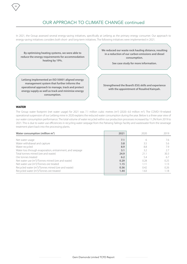In 2021, the Group assessed several energy-saving initiatives, specifically at Letšeng as the primary energy consumer. Our approach to energy-saving initiatives considers both short- and long-term initiatives. The following initiatives were implemented in 2021.

**By optimising heating systems, we were able to reduce the energy requirements for accommodation heating by 19%.**

**Letšeng implemented an ISO 50001 aligned energy management system that further informs the operational approach to manage, track and protect energy supply as well as track and minimise energy consumption.**

**We reduced our waste rock hauling distance, resulting in a reduction of our carbon emissions and diesel consumption.**

**See case study for more information.**

**Strengthened the Board's ESG skills and experience with the appointment of Rosalind Kainyah.**

#### WATER

11

The Group water footprint (net water usage) for 2021 was 7.1 million cubic metres (m<sup>3</sup>) (2020: 6.0 million m<sup>3</sup>). The COVID-19-related operational suspension of our Letšeng mine in 2020 explains the reduced water consumption during the year. Below is a three-year view of our water consumption performance. The total volume of water recycled within our production processes increased by 11.2% from 2019 to 2021. This is due to water use efficiencies in recycling water seepage from the Patiseng Tailings Facility and wastewater from the sewerage treatment plant back into the processing plants.

| Water consumption (million $m^3$ )                            | 2021 | 2020 | 2019 |
|---------------------------------------------------------------|------|------|------|
|                                                               |      |      |      |
| Net water usage                                               | 7.1  | 6    | 7.6  |
| Water withdrawal and capture                                  | 3.8  | 3.5  | 5.6  |
| Water recycled                                                | 8.9  | 8.8  | 7.9  |
| Water loss through evaporation, entrainment, and seepage      | 3.1  | 3.2  |      |
| Total tonnes mined (ore and waste)                            | 24.9 | 21.1 | 30.3 |
| Ore tonnes treated                                            | 6.2  | 5.4  | 6.7  |
| Net water use $(m^3)$ /Tonnes mined (ore and waste)           | 0.29 | 0.28 | 0.25 |
| Net water use (m <sup>3</sup> )/Tonnes ore treated            | 1.15 | 1.11 | 1.13 |
| Recycled water (m <sup>3</sup> )/Tonnes mined (ore and waste) | 0.36 | 0.42 | 0.26 |
| Recycled water (m <sup>3</sup> )/Tonnes ore treated           | 1.44 | 1.63 | 1.18 |
|                                                               |      |      |      |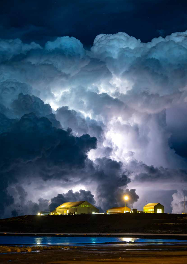